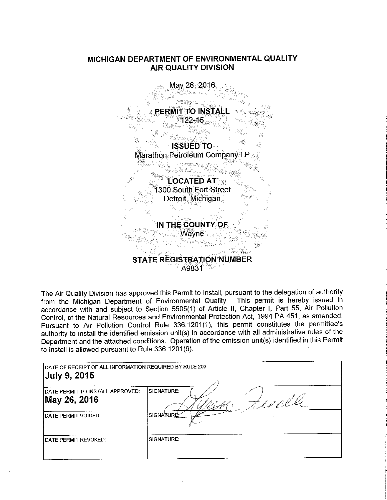# **MICHIGAN DEPARTMENT OF ENVIRONMENTAL QUALITY AIR QUALITY DIVISION**



The Air Quality Division has approved this Permit to Install, pursuant to the delegation of authority from the Michigan Department of Environmental Quality. This permit is hereby issued in accordance with and subject to Section 5505(1) of Article II, Chapter I, Part 55, Air Pollution Control, of the Natural Resources and Environmental Protection Act, 1994 PA 451, as amended. Pursuant to Air Pollution Control Rule 336.1201(1), this permit constitutes the permittee's authority to install the identified emission unit(s) in accordance with all administrative rules of the Department and the attached conditions. Operation of the emission unit(s) identified in this Permit to Install is allowed pursuant to Rule 336.1201(6).

| DATE OF RECEIPT OF ALL INFORMATION REQUIRED BY RULE 203:<br><b>July 9, 2015</b> |                      |  |
|---------------------------------------------------------------------------------|----------------------|--|
| DATE PERMIT TO INSTALL APPROVED:<br>May 26, 2016                                | SIGNATURE:<br>10 O.V |  |
| <b>IDATE PERMIT VOIDED:</b>                                                     | SIGNATURE.           |  |
| <b>IDATE PERMIT REVOKED:</b>                                                    | SIGNATURE:           |  |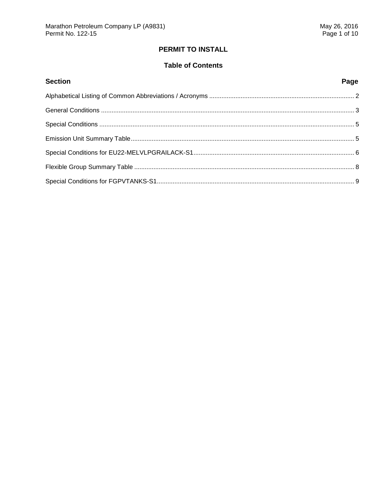# **PERMIT TO INSTALL**

# **Table of Contents**

| <b>Section</b> | Page |
|----------------|------|
|                |      |
|                |      |
|                |      |
|                |      |
|                |      |
|                |      |
|                |      |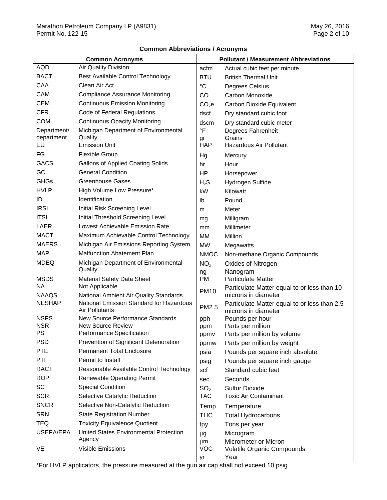# **Common Abbreviations / Acronyms**

| <b>Common Acronyms</b> |                                                            | <b>Pollutant / Measurement Abbreviations</b> |                                                                     |
|------------------------|------------------------------------------------------------|----------------------------------------------|---------------------------------------------------------------------|
| <b>AQD</b>             | Air Quality Division                                       | acfm                                         | Actual cubic feet per minute                                        |
| <b>BACT</b>            | Best Available Control Technology                          | <b>BTU</b>                                   | <b>British Thermal Unit</b>                                         |
| CAA                    | Clean Air Act                                              | $^{\circ}C$                                  | Degrees Celsius                                                     |
| CAM                    | <b>Compliance Assurance Monitoring</b>                     | CO                                           | Carbon Monoxide                                                     |
| <b>CEM</b>             | <b>Continuous Emission Monitoring</b>                      | CO <sub>2</sub> e                            | Carbon Dioxide Equivalent                                           |
| <b>CFR</b>             | Code of Federal Regulations                                | dscf                                         | Dry standard cubic foot                                             |
| <b>COM</b>             | <b>Continuous Opacity Monitoring</b>                       | dscm                                         | Dry standard cubic meter                                            |
| Department/            | Michigan Department of Environmental                       | $\overline{\ }$ F                            | Degrees Fahrenheit                                                  |
| department             | Quality                                                    | gr                                           | Grains                                                              |
| EU                     | <b>Emission Unit</b>                                       | <b>HAP</b>                                   | Hazardous Air Pollutant                                             |
| FG                     | <b>Flexible Group</b>                                      | Hg                                           | Mercury                                                             |
| <b>GACS</b>            | <b>Gallons of Applied Coating Solids</b>                   | hr                                           | Hour                                                                |
| GC                     | <b>General Condition</b>                                   | HP                                           | Horsepower                                                          |
| <b>GHGs</b>            | <b>Greenhouse Gases</b>                                    | $H_2S$                                       | Hydrogen Sulfide                                                    |
| <b>HVLP</b>            | High Volume Low Pressure*                                  | kW                                           | Kilowatt                                                            |
| ID                     | Identification                                             | lb                                           | Pound                                                               |
| <b>IRSL</b>            | Initial Risk Screening Level                               | m                                            | Meter                                                               |
| <b>ITSL</b>            | Initial Threshold Screening Level                          | mg                                           | Milligram                                                           |
| LAER                   | Lowest Achievable Emission Rate                            | mm                                           | Millimeter                                                          |
| <b>MACT</b>            | Maximum Achievable Control Technology                      | MM                                           | Million                                                             |
| <b>MAERS</b>           | Michigan Air Emissions Reporting System                    | <b>MW</b>                                    | Megawatts                                                           |
| <b>MAP</b>             | <b>Malfunction Abatement Plan</b>                          | <b>NMOC</b>                                  | Non-methane Organic Compounds                                       |
| <b>MDEQ</b>            | Michigan Department of Environmental<br>Quality            | NO <sub>x</sub>                              | Oxides of Nitrogen                                                  |
| <b>MSDS</b>            | <b>Material Safety Data Sheet</b>                          | ng<br><b>PM</b>                              | Nanogram<br><b>Particulate Matter</b>                               |
| NA.                    | Not Applicable                                             |                                              | Particulate Matter equal to or less than 10                         |
| <b>NAAQS</b>           | National Ambient Air Quality Standards                     | <b>PM10</b>                                  | microns in diameter                                                 |
| <b>NESHAP</b>          | National Emission Standard for Hazardous<br>Air Pollutants | PM2.5                                        | Particulate Matter equal to or less than 2.5<br>microns in diameter |
| <b>NSPS</b>            | New Source Performance Standards                           | pph                                          | Pounds per hour                                                     |
| <b>NSR</b>             | <b>New Source Review</b>                                   | ppm                                          | Parts per million                                                   |
| PS                     | Performance Specification                                  | ppmv                                         | Parts per million by volume                                         |
| <b>PSD</b>             | Prevention of Significant Deterioration                    | ppmw                                         | Parts per million by weight                                         |
| <b>PTE</b>             | <b>Permanent Total Enclosure</b>                           | psia                                         | Pounds per square inch absolute                                     |
| PTI                    | Permit to Install                                          | psig                                         | Pounds per square inch gauge                                        |
| <b>RACT</b>            | Reasonable Available Control Technology                    | scf                                          | Standard cubic feet                                                 |
| <b>ROP</b>             | <b>Renewable Operating Permit</b>                          | sec                                          | Seconds                                                             |
| SC                     | <b>Special Condition</b>                                   | SO <sub>2</sub>                              | <b>Sulfur Dioxide</b>                                               |
| <b>SCR</b>             | Selective Catalytic Reduction                              | <b>TAC</b>                                   | <b>Toxic Air Contaminant</b>                                        |
| <b>SNCR</b>            | Selective Non-Catalytic Reduction                          | Temp                                         | Temperature                                                         |
| <b>SRN</b>             | <b>State Registration Number</b>                           | <b>THC</b>                                   | <b>Total Hydrocarbons</b>                                           |
| TEQ                    | <b>Toxicity Equivalence Quotient</b>                       | tpy                                          | Tons per year                                                       |
| USEPA/EPA              | <b>United States Environmental Protection</b>              | μg                                           | Microgram                                                           |
|                        | Agency                                                     | μm                                           | Micrometer or Micron                                                |
| VE                     | Visible Emissions                                          | <b>VOC</b>                                   | Volatile Organic Compounds                                          |
|                        |                                                            | yr                                           | Year                                                                |

\*For HVLP applicators, the pressure measured at the gun air cap shall not exceed 10 psig.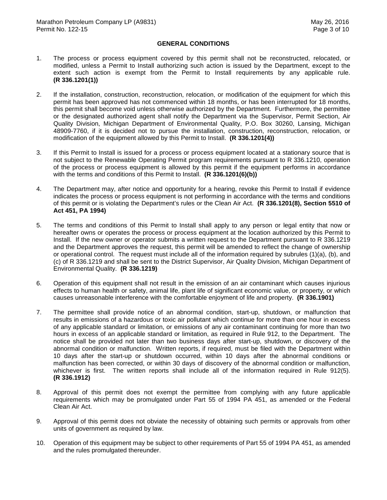### **GENERAL CONDITIONS**

- $1.$  modified, unless a Permit to Install authorizing such action is issued by the Department, except to the extent such action is exempt from the Permit to Install requirements by any applicable rule. The process or process equipment covered by this permit shall not be reconstructed, relocated, or **(R 336.1201(1))**
- $2.$  permit has been approved has not commenced within 18 months, or has been interrupted for 18 months, this permit shall become void unless otherwise authorized by the Department. Furthermore, the permittee or the designated authorized agent shall notify the Department via the Supervisor, Permit Section, Air Quality Division, Michigan Department of Environmental Quality, P.O. Box 30260, Lansing, Michigan 48909-7760, if it is decided not to pursue the installation, construction, reconstruction, relocation, or modification of the equipment allowed by this Permit to Install. **(R 336.1201(4))**  2. If the installation, construction, reconstruction, relocation, or modification of the equipment for which this
- 3. not subject to the Renewable Operating Permit program requirements pursuant to R 336.1210, operation of the process or process equipment is allowed by this permit if the equipment performs in accordance with the terms and conditions of this Permit to Install. **(R 336.1201(6)(b))**  If this Permit to Install is issued for a process or process equipment located at a stationary source that is
- $4.$  indicates the process or process equipment is not performing in accordance with the terms and conditions of this permit or is violating the Department's rules or the Clean Air Act. **(R 336.1201(8), Section 5510 of Act 451, PA 1994)**  The Department may, after notice and opportunity for a hearing, revoke this Permit to Install if evidence
- 5. hereafter owns or operates the process or process equipment at the location authorized by this Permit to Install. If the new owner or operator submits a written request to the Department pursuant to R 336.1219 and the Department approves the request, this permit will be amended to reflect the change of ownership or operational control. The request must include all of the information required by subrules (1)(a), (b), and (c) of R 336.1219 and shall be sent to the District Supervisor, Air Quality Division, Michigan Department of Environmental Quality. **(R 336.1219)**  The terms and conditions of this Permit to Install shall apply to any person or legal entity that now or
- 6. Operation of this equipment shall not result in the emission of an air contaminant which causes injurious effects to human health or safety, animal life, plant life of significant economic value, or property, or which causes unreasonable interference with the comfortable enjoyment of life and property. **(R 336.1901)**
- $7<sup>1</sup>$  results in emissions of a hazardous or toxic air pollutant which continue for more than one hour in excess of any applicable standard or limitation, or emissions of any air contaminant continuing for more than two hours in excess of an applicable standard or limitation, as required in Rule 912, to the Department. The notice shall be provided not later than two business days after start-up, shutdown, or discovery of the abnormal condition or malfunction. Written reports, if required, must be filed with the Department within 10 days after the start-up or shutdown occurred, within 10 days after the abnormal conditions or malfunction has been corrected, or within 30 days of discovery of the abnormal condition or malfunction, whichever is first. The written reports shall include all of the information required in Rule 912(5).  **(R 336.1912)**  The permittee shall provide notice of an abnormal condition, start-up, shutdown, or malfunction that
- 8. Approval of this permit does not exempt the permittee from complying with any future applicable requirements which may be promulgated under Part 55 of 1994 PA 451, as amended or the Federal Clean Air Act.
- 9. Approval of this permit does not obviate the necessity of obtaining such permits or approvals from other units of government as required by law.
- 10. Operation of this equipment may be subject to other requirements of Part 55 of 1994 PA 451, as amended and the rules promulgated thereunder.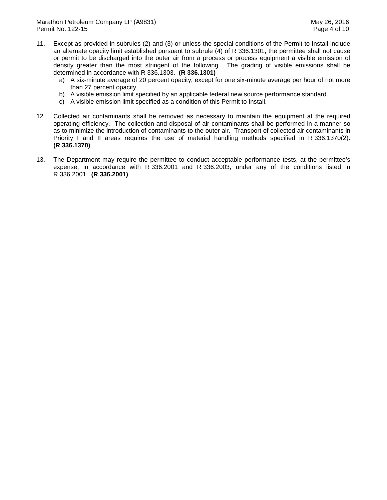- 11. Except as provided in subrules (2) and (3) or unless the special conditions of the Permit to Install include an alternate opacity limit established pursuant to subrule (4) of R 336.1301, the permittee shall not cause or permit to be discharged into the outer air from a process or process equipment a visible emission of density greater than the most stringent of the following. The grading of visible emissions shall be determined in accordance with R 336.1303. **(R 336.1301)** 
	- a) A six-minute average of 20 percent opacity, except for one six-minute average per hour of not more than 27 percent opacity.
	- b) A visible emission limit specified by an applicable federal new source performance standard.
	- c) A visible emission limit specified as a condition of this Permit to Install.
- 12. Collected air contaminants shall be removed as necessary to maintain the equipment at the required operating efficiency. The collection and disposal of air contaminants shall be performed in a manner so as to minimize the introduction of contaminants to the outer air. Transport of collected air contaminants in Priority I and II areas requires the use of material handling methods specified in R 336.1370(2).  **(R 336.1370)**
- $13.$  expense, in accordance with R 336.2001 and R 336.2003, under any of the conditions listed in R 336.2001. **(R 336.2001)** The Department may require the permittee to conduct acceptable performance tests, at the permittee's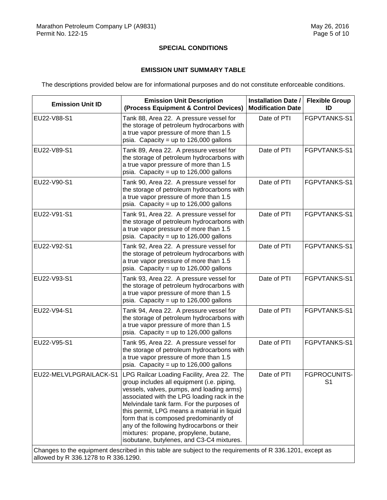### **SPECIAL CONDITIONS**

## **EMISSION UNIT SUMMARY TABLE**

The descriptions provided below are for informational purposes and do not constitute enforceable conditions.

| <b>Emission Unit ID</b> | <b>Emission Unit Description</b><br>(Process Equipment & Control Devices)                                                                                                                                                                                                                                                                                                                                                                                                    | <b>Installation Date /</b><br><b>Modification Date</b> | <b>Flexible Group</b><br>ID    |
|-------------------------|------------------------------------------------------------------------------------------------------------------------------------------------------------------------------------------------------------------------------------------------------------------------------------------------------------------------------------------------------------------------------------------------------------------------------------------------------------------------------|--------------------------------------------------------|--------------------------------|
| EU22-V88-S1             | Tank 88, Area 22. A pressure vessel for<br>the storage of petroleum hydrocarbons with<br>a true vapor pressure of more than 1.5<br>psia. Capacity = up to $126,000$ gallons                                                                                                                                                                                                                                                                                                  | Date of PTI                                            | FGPVTANKS-S1                   |
| EU22-V89-S1             | Tank 89, Area 22. A pressure vessel for<br>the storage of petroleum hydrocarbons with<br>a true vapor pressure of more than 1.5<br>psia. Capacity = up to $126,000$ gallons                                                                                                                                                                                                                                                                                                  | Date of PTI                                            | FGPVTANKS-S1                   |
| EU22-V90-S1             | Tank 90, Area 22. A pressure vessel for<br>the storage of petroleum hydrocarbons with<br>a true vapor pressure of more than 1.5<br>psia. Capacity = up to $126,000$ gallons                                                                                                                                                                                                                                                                                                  | Date of PTI                                            | FGPVTANKS-S1                   |
| EU22-V91-S1             | Tank 91, Area 22. A pressure vessel for<br>the storage of petroleum hydrocarbons with<br>a true vapor pressure of more than 1.5<br>psia. Capacity = up to $126,000$ gallons                                                                                                                                                                                                                                                                                                  | Date of PTI                                            | FGPVTANKS-S1                   |
| EU22-V92-S1             | Tank 92, Area 22. A pressure vessel for<br>the storage of petroleum hydrocarbons with<br>a true vapor pressure of more than 1.5<br>psia. Capacity = up to $126,000$ gallons                                                                                                                                                                                                                                                                                                  | Date of PTI                                            | FGPVTANKS-S1                   |
| EU22-V93-S1             | Tank 93, Area 22. A pressure vessel for<br>the storage of petroleum hydrocarbons with<br>a true vapor pressure of more than 1.5<br>psia. Capacity = up to $126,000$ gallons                                                                                                                                                                                                                                                                                                  | Date of PTI                                            | FGPVTANKS-S1                   |
| EU22-V94-S1             | Tank 94, Area 22. A pressure vessel for<br>the storage of petroleum hydrocarbons with<br>a true vapor pressure of more than 1.5<br>psia. Capacity = up to $126,000$ gallons                                                                                                                                                                                                                                                                                                  | Date of PTI                                            | FGPVTANKS-S1                   |
| EU22-V95-S1             | Tank 95, Area 22. A pressure vessel for<br>the storage of petroleum hydrocarbons with<br>a true vapor pressure of more than 1.5<br>psia. Capacity = up to $126,000$ gallons                                                                                                                                                                                                                                                                                                  | Date of PTI                                            | FGPVTANKS-S1                   |
| EU22-MELVLPGRAILACK-S1  | LPG Railcar Loading Facility, Area 22. The<br>group includes all equipment (i.e. piping,<br>vessels, valves, pumps, and loading arms)<br>associated with the LPG loading rack in the<br>Melvindale tank farm. For the purposes of<br>this permit, LPG means a material in liquid<br>form that is composed predominantly of<br>any of the following hydrocarbons or their<br>mixtures: propane, propylene, butane,<br>isobutane, butylenes, and C3-C4 mixtures.<br>seibool in | Date of PTI                                            | FGPROCUNITS-<br>S <sub>1</sub> |

 Changes to the equipment described in this table are subject to the requirements of R 336.1201, except as allowed by R 336.1278 to R 336.1290.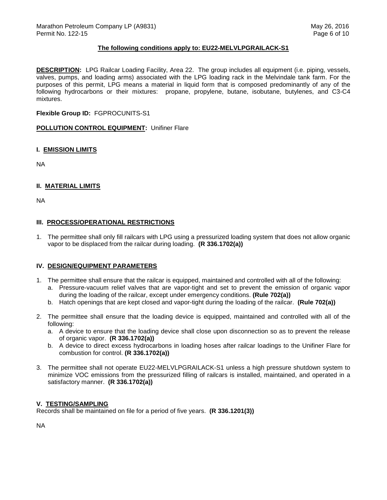### **The following conditions apply to: EU22-MELVLPGRAILACK-S1**

 **DESCRIPTION:** LPG Railcar Loading Facility, Area 22. The group includes all equipment (i.e. piping, vessels, valves, pumps, and loading arms) associated with the LPG loading rack in the Melvindale tank farm. For the purposes of this permit, LPG means a material in liquid form that is composed predominantly of any of the following hydrocarbons or their mixtures: propane, propylene, butane, isobutane, butylenes, and C3-C4 mixtures.

### **Flexible Group ID:** FGPROCUNITS-S1

 **POLLUTION CONTROL EQUIPMENT:** Unifiner Flare

#### **I. EMISSION LIMITS**

NA

### **II. MATERIAL LIMITS**

NA

### **III. PROCESS/OPERATIONAL RESTRICTIONS**

 1. The permittee shall only fill railcars with LPG using a pressurized loading system that does not allow organic vapor to be displaced from the railcar during loading. **(R 336.1702(a))** 

## **IV. DESIGN/EQUIPMENT PARAMETERS**

- 1. The permittee shall ensure that the railcar is equipped, maintained and controlled with all of the following:
	- a. Pressure-vacuum relief valves that are vapor-tight and set to prevent the emission of organic vapor during the loading of the railcar, except under emergency conditions. **(Rule 702(a))**
	- b. Hatch openings that are kept closed and vapor-tight during the loading of the railcar. **(Rule 702(a))**
- 2. The permittee shall ensure that the loading device is equipped, maintained and controlled with all of the following:
	- a. A device to ensure that the loading device shall close upon disconnection so as to prevent the release of organic vapor. **(R 336.1702(a))**
	- b. A device to direct excess hydrocarbons in loading hoses after railcar loadings to the Unifiner Flare for combustion for control. **(R 336.1702(a))**
- 3. The permittee shall not operate EU22-MELVLPGRAILACK-S1 unless a high pressure shutdown system to minimize VOC emissions from the pressurized filling of railcars is installed, maintained, and operated in a satisfactory manner. **(R 336.1702(a))**

### **V. TESTING/SAMPLING**

Records shall be maintained on file for a period of five years. **(R 336.1201(3))** 

NA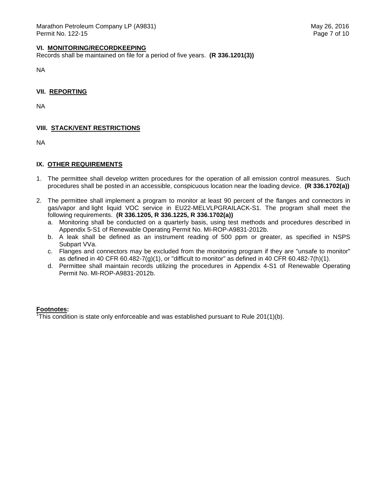#### **VI. MONITORING/RECORDKEEPING**

Records shall be maintained on file for a period of five years. **(R 336.1201(3))** 

NA

 **VII. REPORTING** 

NA

# **VIII. STACK/VENT RESTRICTIONS**

NA

## **IX. OTHER REQUIREMENTS**

- 1. The permittee shall develop written procedures for the operation of all emission control measures. Such procedures shall be posted in an accessible, conspicuous location near the loading device. **(R 336.1702(a))**
- 2. The permittee shall implement a program to monitor at least 90 percent of the flanges and connectors in gas/vapor and light liquid VOC service in EU22-MELVLPGRAILACK-S1. The program shall meet the following requirements. **(R 336.1205, R 336.1225, R 336.1702(a))** 
	- a. Monitoring shall be conducted on a quarterly basis, using test methods and procedures described in Appendix 5-S1 of Renewable Operating Permit No. MI-ROP-A9831-2012b.
	- b. A leak shall be defined as an instrument reading of 500 ppm or greater, as specified in NSPS Subpart VVa.
	- c. Flanges and connectors may be excluded from the monitoring program if they are "unsafe to monitor" as defined in 40 CFR 60.482-7(g)(1), or "difficult to monitor" as defined in 40 CFR 60.482-7(h)(1).
	- d. Permittee shall maintain records utilizing the procedures in Appendix 4-S1 of Renewable Operating Permit No. MI-ROP-A9831-2012b.

### **Footnotes:**

 $\overline{h}$ This condition is state only enforceable and was established pursuant to Rule 201(1)(b).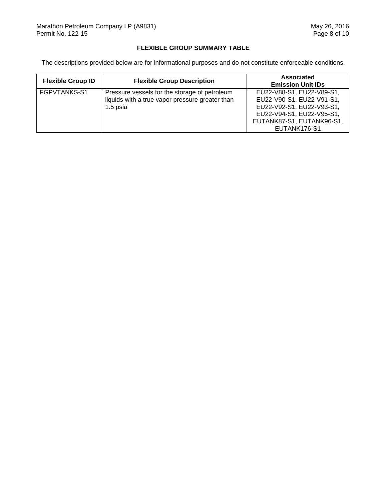## **FLEXIBLE GROUP SUMMARY TABLE**

The descriptions provided below are for informational purposes and do not constitute enforceable conditions.

| <b>Flexible Group ID</b> | <b>Flexible Group Description</b>                                                                            | <b>Associated</b><br><b>Emission Unit IDs</b>                                                                                                                 |
|--------------------------|--------------------------------------------------------------------------------------------------------------|---------------------------------------------------------------------------------------------------------------------------------------------------------------|
| FGPVTANKS-S1             | Pressure vessels for the storage of petroleum<br>liquids with a true vapor pressure greater than<br>1.5 psia | EU22-V88-S1, EU22-V89-S1,<br>EU22-V90-S1, EU22-V91-S1,<br>EU22-V92-S1, EU22-V93-S1,<br>EU22-V94-S1, EU22-V95-S1,<br>EUTANK87-S1, EUTANK96-S1,<br>EUTANK176-S1 |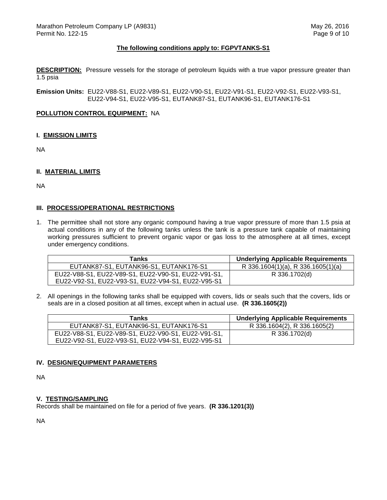#### **The following conditions apply to: FGPVTANKS-S1**

 **DESCRIPTION:** Pressure vessels for the storage of petroleum liquids with a true vapor pressure greater than 1.5 psia

 **Emission Units:** EU22-V88-S1, EU22-V89-S1, EU22-V90-S1, EU22-V91-S1, EU22-V92-S1, EU22-V93-S1, EU22-V94-S1, EU22-V95-S1, EUTANK87-S1, EUTANK96-S1, EUTANK176-S1

#### **POLLUTION CONTROL EQUIPMENT:** NA

#### **I. EMISSION LIMITS**

NA

### **II. MATERIAL LIMITS**

NA

#### **III. PROCESS/OPERATIONAL RESTRICTIONS**

 1. The permittee shall not store any organic compound having a true vapor pressure of more than 1.5 psia at actual conditions in any of the following tanks unless the tank is a pressure tank capable of maintaining working pressures sufficient to prevent organic vapor or gas loss to the atmosphere at all times, except under emergency conditions.

| Tanks                                               | <b>Underlying Applicable Requirements</b> |
|-----------------------------------------------------|-------------------------------------------|
| EUTANK87-S1, EUTANK96-S1, EUTANK176-S1              | R 336.1604(1)(a), R 336.1605(1)(a)        |
| EU22-V88-S1, EU22-V89-S1, EU22-V90-S1, EU22-V91-S1, | R 336.1702(d)                             |
| EU22-V92-S1, EU22-V93-S1, EU22-V94-S1, EU22-V95-S1  |                                           |

 2. All openings in the following tanks shall be equipped with covers, lids or seals such that the covers, lids or seals are in a closed position at all times, except when in actual use. **(R 336.1605(2))** 

| Tanks                                               | <b>Underlying Applicable Requirements</b> |
|-----------------------------------------------------|-------------------------------------------|
| EUTANK87-S1, EUTANK96-S1, EUTANK176-S1              | R 336.1604(2), R 336.1605(2)              |
| EU22-V88-S1, EU22-V89-S1, EU22-V90-S1, EU22-V91-S1, | R 336.1702(d)                             |
| EU22-V92-S1, EU22-V93-S1, EU22-V94-S1, EU22-V95-S1  |                                           |

#### **IV. DESIGN/EQUIPMENT PARAMETERS**

NA

## **V. TESTING/SAMPLING**

Records shall be maintained on file for a period of five years. **(R 336.1201(3))** 

NA